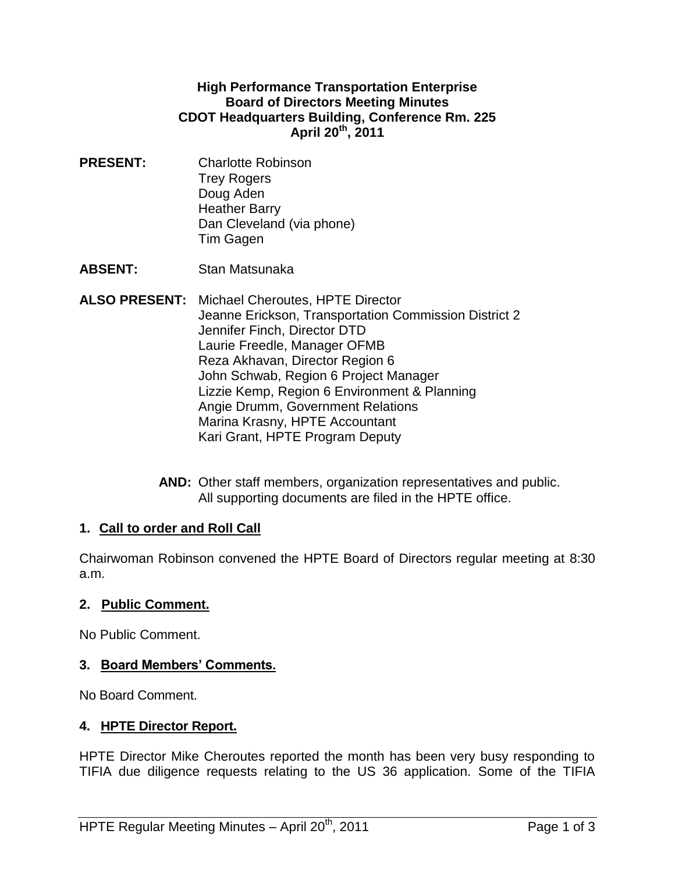#### **High Performance Transportation Enterprise Board of Directors Meeting Minutes CDOT Headquarters Building, Conference Rm. 225 April 20th , 2011**

**PRESENT:** Charlotte Robinson Trey Rogers Doug Aden Heather Barry Dan Cleveland (via phone) Tim Gagen

**ABSENT:** Stan Matsunaka

- **ALSO PRESENT:** Michael Cheroutes, HPTE Director Jeanne Erickson, Transportation Commission District 2 Jennifer Finch, Director DTD Laurie Freedle, Manager OFMB Reza Akhavan, Director Region 6 John Schwab, Region 6 Project Manager Lizzie Kemp, Region 6 Environment & Planning Angie Drumm, Government Relations Marina Krasny, HPTE Accountant Kari Grant, HPTE Program Deputy
	- **AND:** Other staff members, organization representatives and public. All supporting documents are filed in the HPTE office.

### **1. Call to order and Roll Call**

Chairwoman Robinson convened the HPTE Board of Directors regular meeting at 8:30 a.m.

### **2. Public Comment.**

No Public Comment.

### **3. Board Members' Comments.**

No Board Comment.

### **4. HPTE Director Report.**

HPTE Director Mike Cheroutes reported the month has been very busy responding to TIFIA due diligence requests relating to the US 36 application. Some of the TIFIA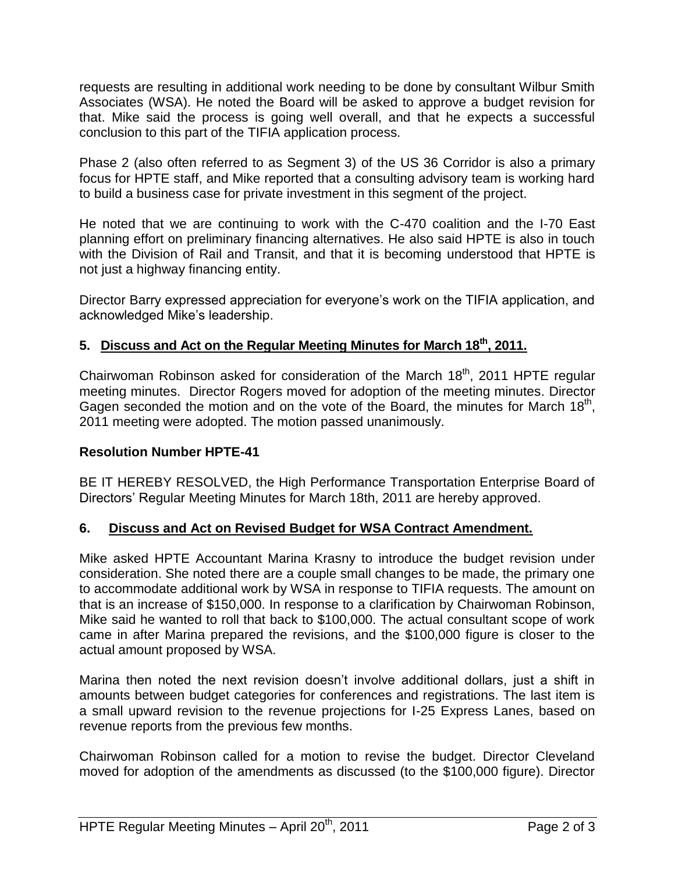requests are resulting in additional work needing to be done by consultant Wilbur Smith Associates (WSA). He noted the Board will be asked to approve a budget revision for that. Mike said the process is going well overall, and that he expects a successful conclusion to this part of the TIFIA application process.

Phase 2 (also often referred to as Segment 3) of the US 36 Corridor is also a primary focus for HPTE staff, and Mike reported that a consulting advisory team is working hard to build a business case for private investment in this segment of the project.

He noted that we are continuing to work with the C-470 coalition and the I-70 East planning effort on preliminary financing alternatives. He also said HPTE is also in touch with the Division of Rail and Transit, and that it is becoming understood that HPTE is not just a highway financing entity.

Director Barry expressed appreciation for everyone's work on the TIFIA application, and acknowledged Mike's leadership.

# **5. Discuss and Act on the Regular Meeting Minutes for March 18th , 2011.**

Chairwoman Robinson asked for consideration of the March  $18<sup>th</sup>$ , 2011 HPTE regular meeting minutes. Director Rogers moved for adoption of the meeting minutes. Director Gagen seconded the motion and on the vote of the Board, the minutes for March  $18<sup>th</sup>$ , 2011 meeting were adopted. The motion passed unanimously.

### **Resolution Number HPTE-41**

BE IT HEREBY RESOLVED, the High Performance Transportation Enterprise Board of Directors' Regular Meeting Minutes for March 18th, 2011 are hereby approved.

### **6. Discuss and Act on Revised Budget for WSA Contract Amendment.**

Mike asked HPTE Accountant Marina Krasny to introduce the budget revision under consideration. She noted there are a couple small changes to be made, the primary one to accommodate additional work by WSA in response to TIFIA requests. The amount on that is an increase of \$150,000. In response to a clarification by Chairwoman Robinson, Mike said he wanted to roll that back to \$100,000. The actual consultant scope of work came in after Marina prepared the revisions, and the \$100,000 figure is closer to the actual amount proposed by WSA.

Marina then noted the next revision doesn't involve additional dollars, just a shift in amounts between budget categories for conferences and registrations. The last item is a small upward revision to the revenue projections for I-25 Express Lanes, based on revenue reports from the previous few months.

Chairwoman Robinson called for a motion to revise the budget. Director Cleveland moved for adoption of the amendments as discussed (to the \$100,000 figure). Director